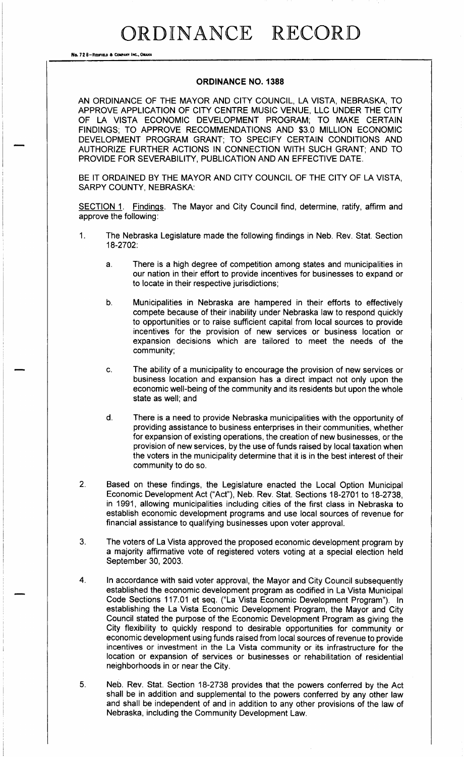## ORDINANCE RECORD

No. 72 8-REDFIELD & COMPANY INC., OMANA

#### ORDINANCE NO. 1388

AN ORDINANCE OF THE MAYOR AND CITY COUNCIL, LA VISTA, NEBRASKA, TO APPROVE APPLICATION OF CITY CENTRE MUSIC VENUE, LLC UNDER THE CITY OF LA VISTA ECONOMIC DEVELOPMENT PROGRAM; TO MAKE CERTAIN FINDINGS; TO APPROVE RECOMMENDATIONS AND \$3.0 MILLION ECONOMIC DEVELOPMENT PROGRAM GRANT; TO SPECIFY CERTAIN CONDITIONS AND AUTHORIZE FURTHER ACTIONS IN CONNECTION WITH SUCH GRANT; AND TO PROVIDE FOR SEVERABILITY, PUBLICATION AND AN EFFECTIVE DATE.

BE IT ORDAINED BY THE MAYOR AND CITY COUNCIL OF THE CITY OF LA VISTA, SARPY COUNTY, NEBRASKA:

SECTION 1. Findings. The Mayor and City Council find, determine, ratify, affirm and approve the following:

- 1. The Nebraska Legislature made the following findings in Neb. Rev. Stat. Section 18-2702:
	- a. There is a high degree of competition among states and municipalities in our nation in their effort to provide incentives for businesses to expand or to locate in their respective jurisdictions;
	- b. Municipalities in Nebraska are hampered in their efforts to effectively compete because of their inability under Nebraska law to respond quickly to opportunities or to raise sufficient capital from local sources to provide incentives for the provision of new services or business location or expansion decisions which are tailored to meet the needs of the community;
	- c. The ability of <sup>a</sup> municipality to encourage the provision of new services or business location and expansion has a direct impact not only upon the economic well-being of the community and its residents but upon the whole state as well; and
	- d. There is a need to provide Nebraska municipalities with the opportunity of providing assistance to business enterprises in their communities, whether for expansion of existing operations, the creation of new businesses, or the provision of new services, by the use of funds raised by local taxation when the voters in the municipality determine that it is in the best interest of their community to do so.
- 2. Based on these findings, the Legislature enacted the Local Option Municipal Economic Development Act ("Act"), Neb. Rev. Stat. Sections 18-2701 to 18-2738, in 1991, allowing municipalities including cities of the first class in Nebraska to establish economic development programs and use local sources of revenue for financial assistance to qualifying businesses upon voter approval.
- 3. The voters of La Vista approved the proposed economic development program by a majority affirmative vote of registered voters voting at a special election held September 30, 2003.
- 4. In accordance with said voter approval, the Mayor and City Council subsequently established the economic development program as codified in La Vista Municipal Code Sections 117.01 et seq. ("La Vista Economic Development Program"). In establishing the La Vista Economic Development Program, the Mayor and City Council stated the purpose of the Economic Development Program as giving the City flexibility to quickly respond to desirable opportunities for community or economic development using funds raised from local sources of revenue to provide incentives or investment in the La Vista community or its infrastructure for the location or expansion of services or businesses or rehabilitation of residential neighborhoods in or near the City.
- 5. Neb. Rev. Stat. Section 18-2738 provides that the powers conferred by the Act shall be in addition and supplemental to the powers conferred by any other law and shall be independent of and in addition to any other provisions of the law of Nebraska, including the Community Development Law.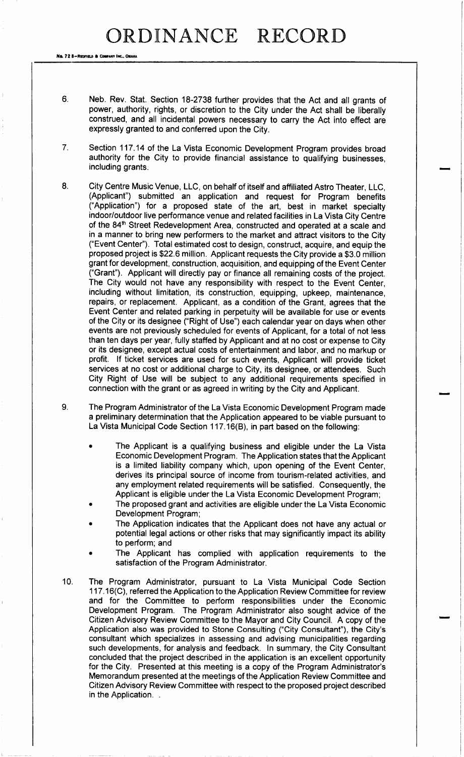No. 72 8-REDFIELD & COMPANY INC., OMAHA

- 6. Neb. Rev. Stat. Section 18-2738 further provides that the Act and all grants of power, authority, rights, or discretion to the City under the Act shall be liberally construed, and all incidental powers necessary to carry the Act into effect are expressly granted to and conferred upon the City.
- 7. Section 117. 14 of the La Vista Economic Development Program provides broad authority for the City to provide financial assistance to qualifying businesses, including grants.
- 8. City Centre Music Venue, LLC, on behalf of itself and affiliated Astro Theater, LLC, Applicant") submitted an application and request for Program benefits Application") for <sup>a</sup> proposed state of the art, best in market specialty indoor/outdoor live performance venue and related facilities in La Vista City Centre of the 84<sup>th</sup> Street Redevelopment Area, constructed and operated at a scale and in a manner to bring new performers to the market and attract visitors to the City Event Center"). Total estimated cost to design, construct, acquire, and equip the proposed project is \$22.6 million. Applicant requests the City provide a \$3.0 million grant for development, construction, acquisition, and equipping of the Event Center Grant"). Applicant will directly pay or finance all remaining costs of the project. The City would not have any responsibility with respect to the Event Center, including without limitation, its construction, equipping, upkeep, maintenance, repairs, or replacement. Applicant, as a condition of the Grant, agrees that the Event Center and related parking in perpetuity will be available for use or events of the City or its designee (" Right of Use") each calendar year on days when other events are not previously scheduled for events of Applicant, for a total of not less than ten days per year, fully staffed by Applicant and at no cost or expense to City or its designee, except actual costs of entertainment and labor, and no markup or profit. If ticket services are used for such events, Applicant will provide ticket services at no cost or additional charge to City, its designee, or attendees. Such City Right of Use will be subject to any additional requirements specified in connection with the grant or as agreed in writing by the City and Applicant.
- 9. The Program Administrator of the La Vista Economic Development Program made a preliminary determination that the Application appeared to be viable pursuant to La Vista Municipal Code Section 117.16(B), in part based on the following:
	- The Applicant is a qualifying business and eligible under the La Vista Economic Development Program. The Application states that the Applicant is a limited liability company which, upon opening of the Event Center, derives its principal source of income from tourism- related activities, and any employment related requirements will be satisfied. Consequently, the Applicant is eligible under the La Vista Economic Development Program;
	- The proposed grant and activities are eligible under the La Vista Economic Development Program;
	- The Application indicates that the Applicant does not have any actual or potential legal actions or other risks that may significantly impact its ability to perform; and
	- The Applicant has complied with application requirements to the satisfaction of the Program Administrator.
- 10. The Program Administrator, pursuant to La Vista Municipal Code Section 117.16(C), referred the Application to the Application Review Committee for review and for the Committee to perform responsibilities under the Economic Development Program. The Program Administrator also sought advice of the Citizen Advisory Review Committee to the Mayor and City Council. A copy of the Application also was provided to Stone Consulting ("City Consultant"), the City's consultant which specializes in assessing and advising municipalities regarding such developments, for analysis and feedback. In summary, the City Consultant concluded that the project described in the application is an excellent opportunity for the City. Presented at this meeting is a copy of the Program Administrator's Memorandum presented at the meetings of the Application Review Committee and Citizen Advisory Review Committee with respect to the proposed project described in the Application. .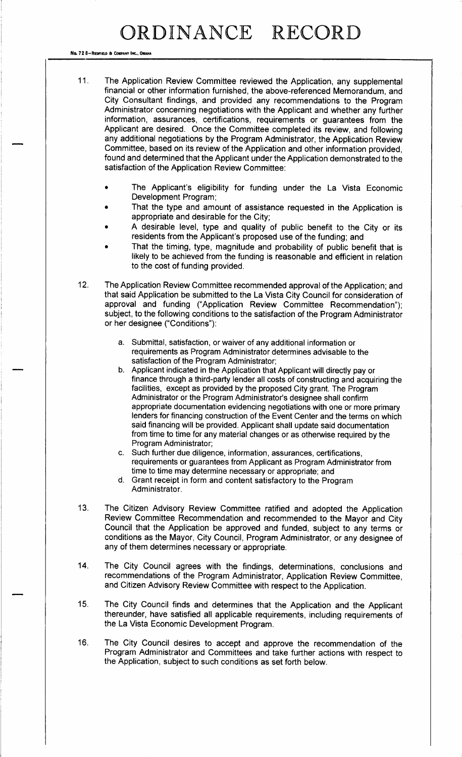## RDINANCE RECORD

No. 72 8-Redfield & Company INC., OMAH

- 11. The Application Review Committee reviewed the Application, any supplemental financial or other information furnished, the above- referenced Memorandum, and City Consultant findings, and provided any recommendations to the Program Administrator concerning negotiations with the Applicant and whether any further information, assurances, certifications, requirements or guarantees from the Applicant are desired. Once the Committee completed its review, and following any additional negotiations by the Program Administrator, the Application Review Committee, based on its review of the Application and other information provided, found and determined that the Applicant under the Application demonstrated to the satisfaction of the Application Review Committee:
	- The Applicant's eligibility for funding under the La Vista Economic Development Program;
	- That the type and amount of assistance requested in the Application is appropriate and desirable for the City;
	- A desirable level, type and quality of public benefit to the City or its residents from the Applicant's proposed use of the funding; and
	- That the timing, type, magnitude and probability of public benefit that is likely to be achieved from the funding is reasonable and efficient in relation to the cost of funding provided.
- 12. The Application Review Committee recommended approval of the Application; and that said Application be submitted to the La Vista City Council for consideration of approval and funding ("Application Review Committee Recommendation"); subject, to the following conditions to the satisfaction of the Program Administrator or her designee ("Conditions"):
	- a. Submittal, satisfaction, or waiver of any additional information or requirements as Program Administrator determines advisable to the satisfaction of the Program Administrator;
	- b. Applicant indicated in the Application that Applicant will directly pay or finance through a third-party lender all costs of constructing and acquiring the facilities, except as provided by the proposed City grant. The Program Administrator or the Program Administrator's designee shall confirm appropriate documentation evidencing negotiations with one or more primary lenders for financing construction of the Event Center and the terms on which said financing will be provided. Applicant shall update said documentation from time to time for any material changes or as otherwise required by the Program Administrator;
	- c. Such further due diligence, information, assurances, certifications, requirements or guarantees from Applicant as Program Administrator from time to time may determine necessary or appropriate; and
	- d. Grant receipt in form and content satisfactory to the Program Administrator.
- 13. The Citizen Advisory Review Committee ratified and adopted the Application Review Committee Recommendation and recommended to the Mayor and City Council that the Application be approved and funded, subject to any terms or conditions as the Mayor, City Council, Program Administrator, or any designee of any of them determines necessary or appropriate.
- 14. The City Council agrees with the findings, determinations, conclusions and recommendations of the Program Administrator, Application Review Committee, and Citizen Advisory Review Committee with respect to the Application.
- 15. The City Council finds and determines that the Application and the Applicant thereunder, have satisfied all applicable requirements, including requirements of the La Vista Economic Development Program.
- 16. The City Council desires to accept and approve the recommendation of the Program Administrator and Committees and take further actions with respect to the Application, subject to such conditions as set forth below.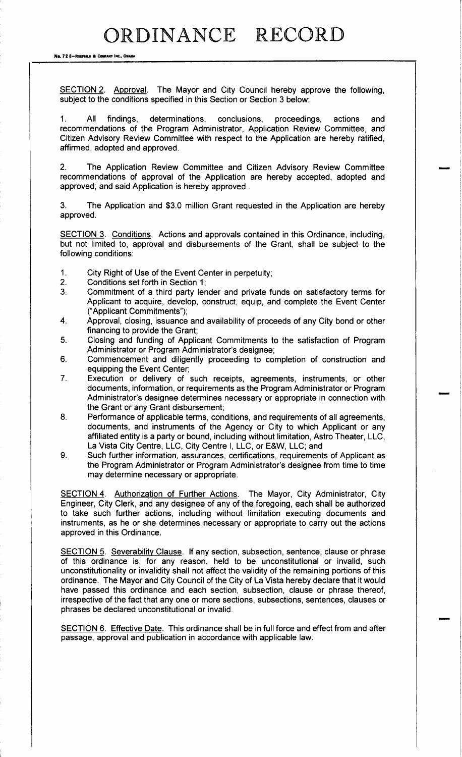No. 72 8-REDFIELD & COMPANY INC., OMAHA

SECTION 2. Approval. The Mayor and City Council hereby approve the following, subject to the conditions specified in this Section or Section 3 below:

1. All findings, determinations, conclusions, proceedings, actions and recommendations of the Program Administrator, Application Review Committee, and Citizen Advisory Review Committee with respect to the Application are hereby ratified, affirmed, adopted and approved.

2. The Application Review Committee and Citizen Advisory Review Committee recommendations of approval of the Application are hereby accepted, adopted and approved; and said Application is hereby approved..

3. The Application and \$3.0 million Grant requested in the Application are hereby approved.

SECTION 3. Conditions. Actions and approvals contained in this Ordinance, including, but not limited to, approval and disbursements of the Grant, shall be subject to the following conditions:

- 1. City Right of Use of the Event Center in perpetuity;<br>2. Conditions set forth in Section 1;
- 2. Conditions set forth in Section 1;<br>3. Commitment of a third party ler
- 3. Commitment of a third party lender and private funds on satisfactory terms for Applicant to acquire, develop, construct, equip, and complete the Event Center Applicant Commitments");
- 4. Approval, closing, issuance and availability of proceeds of any City bond or other financing to provide the Grant;
- 5. Closing and funding of Applicant Commitments to the satisfaction of Program Administrator or Program Administrator's designee;
- 6. Commencement and diligently proceeding to completion of construction and equipping the Event Center;
- 7. Execution or delivery of such receipts, agreements, instruments, or other documents, information, or requirements as the Program Administrator or Program Administrator's designee determines necessary or appropriate in connection with the Grant or any Grant disbursement;
- 8. Performance of applicable terms, conditions, and requirements of all agreements, documents, and instruments of the Agency or City to which Applicant or any affiliated entity is a party or bound, including without limitation, Astro Theater, LLC, La Vista City Centre, LLC, City Centre I, LLC, or E&W, LLC; and
- 9. Such further information, assurances, certifications, requirements of Applicant as the Program Administrator or Program Administrator's designee from time to time may determine necessary or appropriate.

SECTION 4. Authorization of Further Actions. The Mayor, City Administrator, City Engineer, City Clerk, and any designee of any of the foregoing, each shall be authorized to take such further actions, including without limitation executing documents and instruments, as he or she determines necessary or appropriate to carry out the actions approved in this Ordinance.

SECTION 5. Severability Clause. If any section, subsection, sentence, clause or phrase of this ordinance is, for any reason, held to be unconstitutional or invalid, such unconstitutionality or invalidity shall not affect the validity of the remaining portions of this ordinance. The Mayor and City Council of the City of La Vista hereby declare that it would have passed this ordinance and each section, subsection, clause or phrase thereof, irrespective of the fact that any one or more sections, subsections, sentences, clauses or phrases be declared unconstitutional or invalid.

SECTION 6. Effective Date. This ordinance shall be in full force and effect from and after passage, approval and publication in accordance with applicable law.